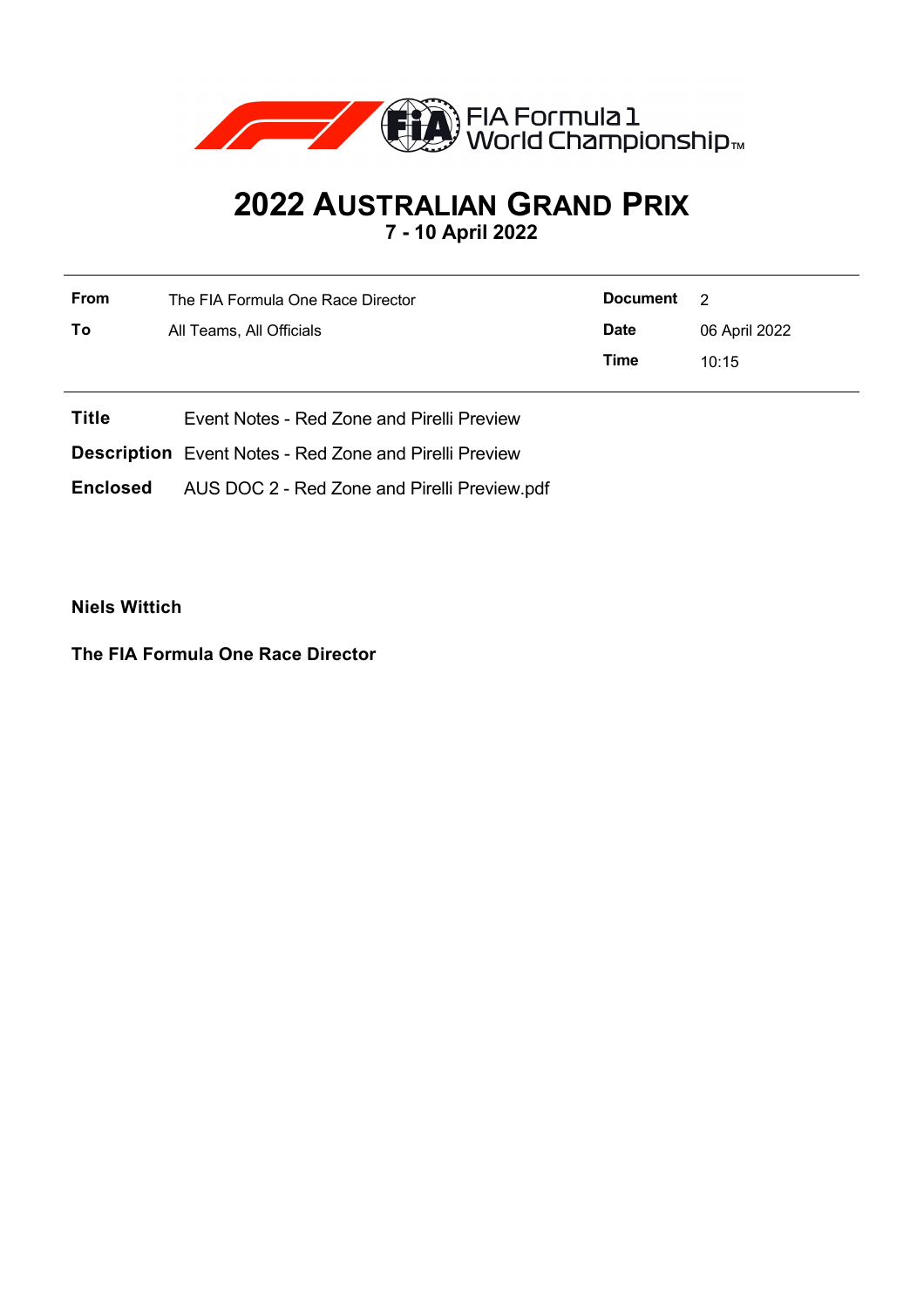

# **2022 AUSTRALIAN GRAND PRIX 7 - 10 April 2022**

| <b>From</b> | The FIA Formula One Race Director | Document    | $\overline{2}$ |
|-------------|-----------------------------------|-------------|----------------|
| To          | All Teams, All Officials          | <b>Date</b> | 06 April 2022  |
|             |                                   | Time        | 10:15          |

**Title** Event Notes - Red Zone and Pirelli Preview

**Description** Event Notes - Red Zone and Pirelli Preview

**Enclosed** AUS DOC 2 - Red Zone and Pirelli Preview.pdf

**Niels Wittich**

**The FIA Formula One Race Director**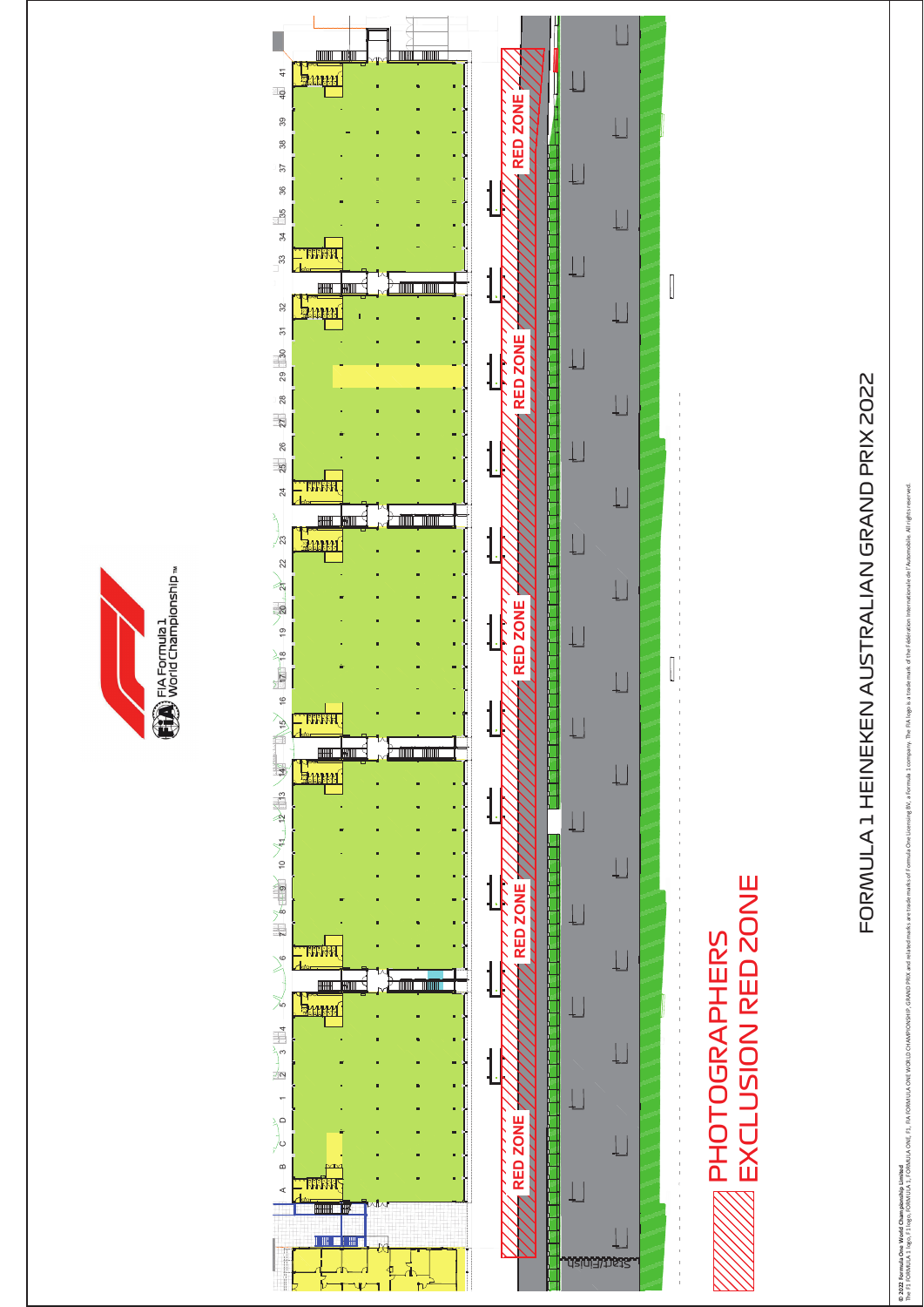



# FORMULA 1 HEINEKEN AUSTRALIAN GRAND PRIX 2022 FORMULA 1 HEINEKEN AUSTRALIAN GRAND PRIX 2022